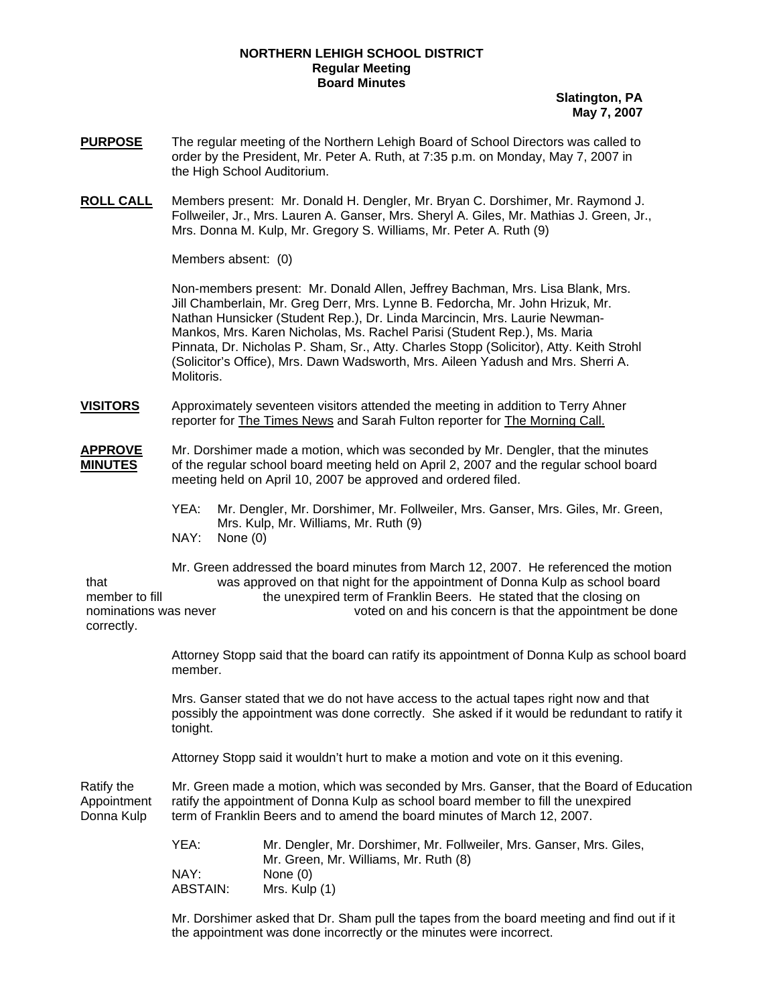## **NORTHERN LEHIGH SCHOOL DISTRICT Regular Meeting Board Minutes**

**Slatington, PA May 7, 2007**

- **PURPOSE** The regular meeting of the Northern Lehigh Board of School Directors was called to order by the President, Mr. Peter A. Ruth, at 7:35 p.m. on Monday, May 7, 2007 in the High School Auditorium.
- **ROLL CALL** Members present: Mr. Donald H. Dengler, Mr. Bryan C. Dorshimer, Mr. Raymond J. Follweiler, Jr., Mrs. Lauren A. Ganser, Mrs. Sheryl A. Giles, Mr. Mathias J. Green, Jr., Mrs. Donna M. Kulp, Mr. Gregory S. Williams, Mr. Peter A. Ruth (9)

Members absent: (0)

Non-members present: Mr. Donald Allen, Jeffrey Bachman, Mrs. Lisa Blank, Mrs. Jill Chamberlain, Mr. Greg Derr, Mrs. Lynne B. Fedorcha, Mr. John Hrizuk, Mr. Nathan Hunsicker (Student Rep.), Dr. Linda Marcincin, Mrs. Laurie Newman-Mankos, Mrs. Karen Nicholas, Ms. Rachel Parisi (Student Rep.), Ms. Maria Pinnata, Dr. Nicholas P. Sham, Sr., Atty. Charles Stopp (Solicitor), Atty. Keith Strohl (Solicitor's Office), Mrs. Dawn Wadsworth, Mrs. Aileen Yadush and Mrs. Sherri A. Molitoris.

- **VISITORS** Approximately seventeen visitors attended the meeting in addition to Terry Ahner reporter for The Times News and Sarah Fulton reporter for The Morning Call.
- **APPROVE** Mr. Dorshimer made a motion, which was seconded by Mr. Dengler, that the minutes **MINUTES** of the regular school board meeting held on April 2, 2007 and the regular school board meeting held on April 10, 2007 be approved and ordered filed.
	- YEA: Mr. Dengler, Mr. Dorshimer, Mr. Follweiler, Mrs. Ganser, Mrs. Giles, Mr. Green, Mrs. Kulp, Mr. Williams, Mr. Ruth (9)<br>NAY: None (0) None (0)

 Mr. Green addressed the board minutes from March 12, 2007. He referenced the motion that was approved on that night for the appointment of Donna Kulp as school board member to fill the unexpired term of Franklin Beers. He stated that the closing on nominations was never voted on and his concern is that the appointment be done correctly.

> Attorney Stopp said that the board can ratify its appointment of Donna Kulp as school board member.

> Mrs. Ganser stated that we do not have access to the actual tapes right now and that possibly the appointment was done correctly. She asked if it would be redundant to ratify it tonight.

Attorney Stopp said it wouldn't hurt to make a motion and vote on it this evening.

Ratify the Mr. Green made a motion, which was seconded by Mrs. Ganser, that the Board of Education Appointment ratify the appointment of Donna Kulp as school board member to fill the unexpired Donna Kulp term of Franklin Beers and to amend the board minutes of March 12, 2007.

| YEA:     | Mr. Dengler, Mr. Dorshimer, Mr. Follweiler, Mrs. Ganser, Mrs. Giles, |
|----------|----------------------------------------------------------------------|
|          | Mr. Green, Mr. Williams, Mr. Ruth (8)                                |
| NAY:     | None (0)                                                             |
| ABSTAIN: | Mrs. Kulp (1)                                                        |

 Mr. Dorshimer asked that Dr. Sham pull the tapes from the board meeting and find out if it the appointment was done incorrectly or the minutes were incorrect.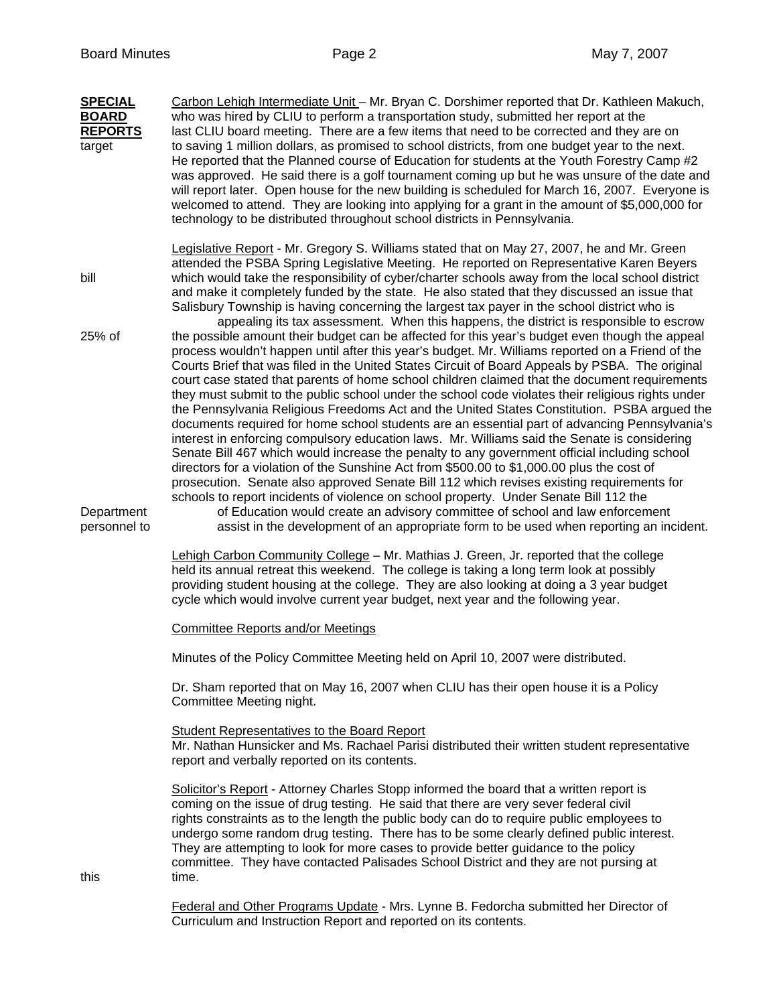**SPECIAL** Carbon Lehigh Intermediate Unit – Mr. Bryan C. Dorshimer reported that Dr. Kathleen Makuch, **BOARD** who was hired by CLIU to perform a transportation study, submitted her report at the **REPORTS** last CLIU board meeting. There are a few items that need to be corrected and they are on target to saving 1 million dollars, as promised to school districts, from one budget year to the next. He reported that the Planned course of Education for students at the Youth Forestry Camp #2 was approved. He said there is a golf tournament coming up but he was unsure of the date and will report later. Open house for the new building is scheduled for March 16, 2007. Everyone is welcomed to attend. They are looking into applying for a grant in the amount of \$5,000,000 for technology to be distributed throughout school districts in Pennsylvania. Legislative Report - Mr. Gregory S. Williams stated that on May 27, 2007, he and Mr. Green attended the PSBA Spring Legislative Meeting. He reported on Representative Karen Beyers bill which would take the responsibility of cyber/charter schools away from the local school district and make it completely funded by the state. He also stated that they discussed an issue that Salisbury Township is having concerning the largest tax payer in the school district who is appealing its tax assessment. When this happens, the district is responsible to escrow 25% of the possible amount their budget can be affected for this year's budget even though the appeal process wouldn't happen until after this year's budget. Mr. Williams reported on a Friend of the Courts Brief that was filed in the United States Circuit of Board Appeals by PSBA. The original court case stated that parents of home school children claimed that the document requirements they must submit to the public school under the school code violates their religious rights under the Pennsylvania Religious Freedoms Act and the United States Constitution. PSBA argued the documents required for home school students are an essential part of advancing Pennsylvania's interest in enforcing compulsory education laws. Mr. Williams said the Senate is considering Senate Bill 467 which would increase the penalty to any government official including school directors for a violation of the Sunshine Act from \$500.00 to \$1,000.00 plus the cost of prosecution. Senate also approved Senate Bill 112 which revises existing requirements for schools to report incidents of violence on school property. Under Senate Bill 112 the Department of Education would create an advisory committee of school and law enforcement personnel to assist in the development of an appropriate form to be used when reporting an incident. Lehigh Carbon Community College – Mr. Mathias J. Green, Jr. reported that the college held its annual retreat this weekend. The college is taking a long term look at possibly providing student housing at the college. They are also looking at doing a 3 year budget cycle which would involve current year budget, next year and the following year. Committee Reports and/or Meetings Minutes of the Policy Committee Meeting held on April 10, 2007 were distributed. Dr. Sham reported that on May 16, 2007 when CLIU has their open house it is a Policy Committee Meeting night. Student Representatives to the Board Report Mr. Nathan Hunsicker and Ms. Rachael Parisi distributed their written student representative report and verbally reported on its contents. Solicitor's Report - Attorney Charles Stopp informed the board that a written report is coming on the issue of drug testing. He said that there are very sever federal civil rights constraints as to the length the public body can do to require public employees to undergo some random drug testing. There has to be some clearly defined public interest. They are attempting to look for more cases to provide better guidance to the policy committee. They have contacted Palisades School District and they are not pursing at this time.

 Federal and Other Programs Update - Mrs. Lynne B. Fedorcha submitted her Director of Curriculum and Instruction Report and reported on its contents.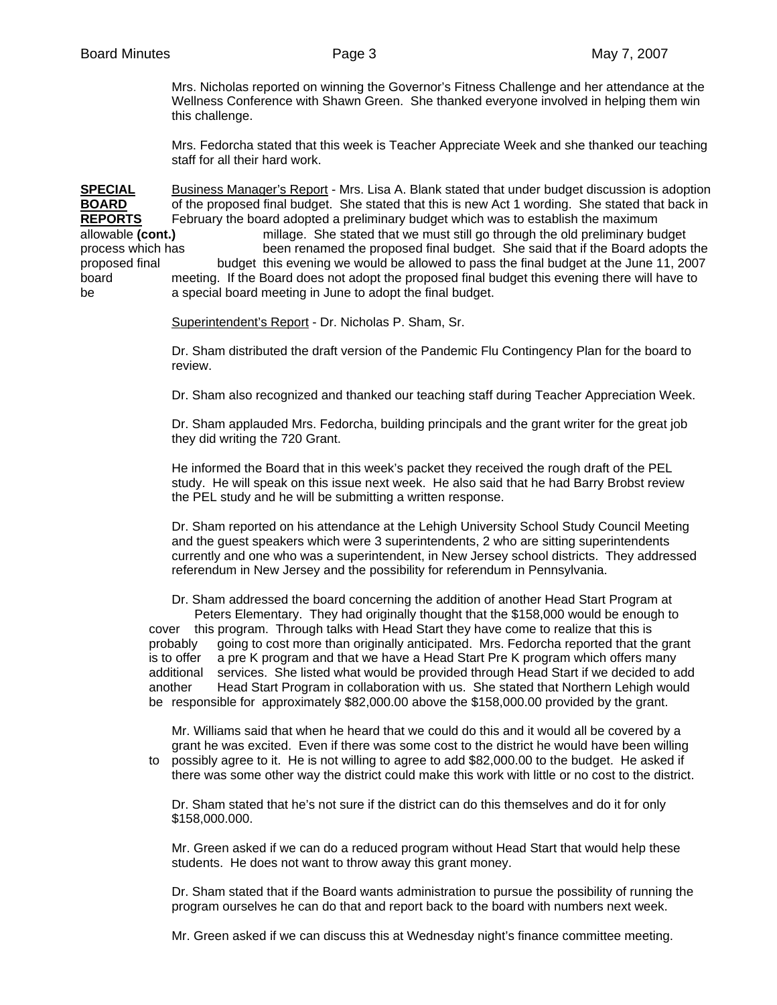Mrs. Nicholas reported on winning the Governor's Fitness Challenge and her attendance at the Wellness Conference with Shawn Green. She thanked everyone involved in helping them win this challenge.

 Mrs. Fedorcha stated that this week is Teacher Appreciate Week and she thanked our teaching staff for all their hard work.

**SPECIAL** Business Manager's Report - Mrs. Lisa A. Blank stated that under budget discussion is adoption **BOARD** of the proposed final budget. She stated that this is new Act 1 wording. She stated that back in **REPORTS** February the board adopted a preliminary budget which was to establish the maximum allowable **(cont.)** millage. She stated that we must still go through the old preliminary budget process which has been renamed the proposed final budget. She said that if the Board adopts the proposed final budget this evening we would be allowed to pass the final budget at the June 11, 2007 board meeting. If the Board does not adopt the proposed final budget this evening there will have to be a special board meeting in June to adopt the final budget.

Superintendent's Report - Dr. Nicholas P. Sham, Sr.

 Dr. Sham distributed the draft version of the Pandemic Flu Contingency Plan for the board to review.

Dr. Sham also recognized and thanked our teaching staff during Teacher Appreciation Week.

 Dr. Sham applauded Mrs. Fedorcha, building principals and the grant writer for the great job they did writing the 720 Grant.

 He informed the Board that in this week's packet they received the rough draft of the PEL study. He will speak on this issue next week. He also said that he had Barry Brobst review the PEL study and he will be submitting a written response.

 Dr. Sham reported on his attendance at the Lehigh University School Study Council Meeting and the guest speakers which were 3 superintendents, 2 who are sitting superintendents currently and one who was a superintendent, in New Jersey school districts. They addressed referendum in New Jersey and the possibility for referendum in Pennsylvania.

 Dr. Sham addressed the board concerning the addition of another Head Start Program at Peters Elementary. They had originally thought that the \$158,000 would be enough to cover this program. Through talks with Head Start they have come to realize that this is probably going to cost more than originally anticipated. Mrs. Fedorcha reported that the grant is to offer a pre K program and that we have a Head Start Pre K program which offers many additional services. She listed what would be provided through Head Start if we decided to add another Head Start Program in collaboration with us. She stated that Northern Lehigh would be responsible for approximately \$82,000.00 above the \$158,000.00 provided by the grant.

 Mr. Williams said that when he heard that we could do this and it would all be covered by a grant he was excited. Even if there was some cost to the district he would have been willing to possibly agree to it. He is not willing to agree to add \$82,000.00 to the budget. He asked if

there was some other way the district could make this work with little or no cost to the district.

 Dr. Sham stated that he's not sure if the district can do this themselves and do it for only \$158,000.000.

 Mr. Green asked if we can do a reduced program without Head Start that would help these students. He does not want to throw away this grant money.

 Dr. Sham stated that if the Board wants administration to pursue the possibility of running the program ourselves he can do that and report back to the board with numbers next week.

Mr. Green asked if we can discuss this at Wednesday night's finance committee meeting.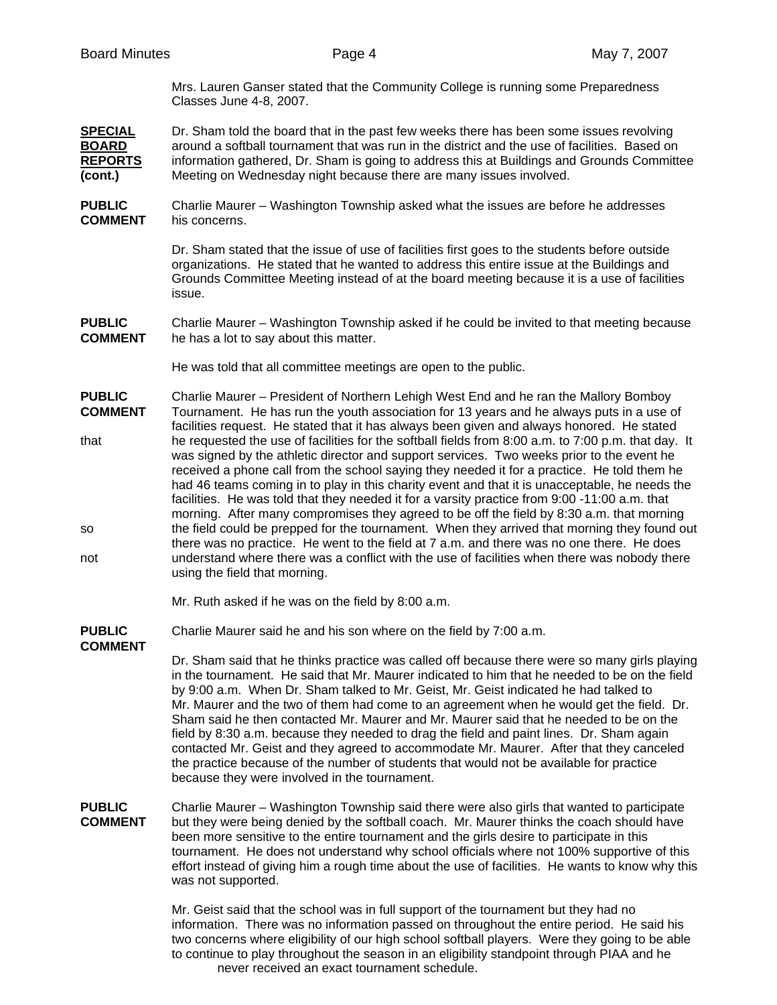| <b>Board Minutes</b>                                        | Page 4                                                                                                                                                                                                                                                                                                                                                                                                                                                                                                                                                                                                                                                                                                                                                                                                          | May 7, 2007 |
|-------------------------------------------------------------|-----------------------------------------------------------------------------------------------------------------------------------------------------------------------------------------------------------------------------------------------------------------------------------------------------------------------------------------------------------------------------------------------------------------------------------------------------------------------------------------------------------------------------------------------------------------------------------------------------------------------------------------------------------------------------------------------------------------------------------------------------------------------------------------------------------------|-------------|
|                                                             | Mrs. Lauren Ganser stated that the Community College is running some Preparedness<br>Classes June 4-8, 2007.                                                                                                                                                                                                                                                                                                                                                                                                                                                                                                                                                                                                                                                                                                    |             |
| <b>SPECIAL</b><br><b>BOARD</b><br><b>REPORTS</b><br>(cont.) | Dr. Sham told the board that in the past few weeks there has been some issues revolving<br>around a softball tournament that was run in the district and the use of facilities. Based on<br>information gathered, Dr. Sham is going to address this at Buildings and Grounds Committee<br>Meeting on Wednesday night because there are many issues involved.                                                                                                                                                                                                                                                                                                                                                                                                                                                    |             |
| <b>PUBLIC</b><br><b>COMMENT</b>                             | Charlie Maurer - Washington Township asked what the issues are before he addresses<br>his concerns.                                                                                                                                                                                                                                                                                                                                                                                                                                                                                                                                                                                                                                                                                                             |             |
|                                                             | Dr. Sham stated that the issue of use of facilities first goes to the students before outside<br>organizations. He stated that he wanted to address this entire issue at the Buildings and<br>Grounds Committee Meeting instead of at the board meeting because it is a use of facilities<br>issue.                                                                                                                                                                                                                                                                                                                                                                                                                                                                                                             |             |
| <b>PUBLIC</b><br><b>COMMENT</b>                             | Charlie Maurer - Washington Township asked if he could be invited to that meeting because<br>he has a lot to say about this matter.                                                                                                                                                                                                                                                                                                                                                                                                                                                                                                                                                                                                                                                                             |             |
|                                                             | He was told that all committee meetings are open to the public.                                                                                                                                                                                                                                                                                                                                                                                                                                                                                                                                                                                                                                                                                                                                                 |             |
| <b>PUBLIC</b><br><b>COMMENT</b>                             | Charlie Maurer - President of Northern Lehigh West End and he ran the Mallory Bomboy<br>Tournament. He has run the youth association for 13 years and he always puts in a use of<br>facilities request. He stated that it has always been given and always honored. He stated                                                                                                                                                                                                                                                                                                                                                                                                                                                                                                                                   |             |
| that                                                        | he requested the use of facilities for the softball fields from 8:00 a.m. to 7:00 p.m. that day. It<br>was signed by the athletic director and support services. Two weeks prior to the event he<br>received a phone call from the school saying they needed it for a practice. He told them he<br>had 46 teams coming in to play in this charity event and that it is unacceptable, he needs the<br>facilities. He was told that they needed it for a varsity practice from 9:00 -11:00 a.m. that<br>morning. After many compromises they agreed to be off the field by 8:30 a.m. that morning                                                                                                                                                                                                                 |             |
| SO<br>not                                                   | the field could be prepped for the tournament. When they arrived that morning they found out<br>there was no practice. He went to the field at 7 a.m. and there was no one there. He does<br>understand where there was a conflict with the use of facilities when there was nobody there<br>using the field that morning.                                                                                                                                                                                                                                                                                                                                                                                                                                                                                      |             |
|                                                             | Mr. Ruth asked if he was on the field by 8:00 a.m.                                                                                                                                                                                                                                                                                                                                                                                                                                                                                                                                                                                                                                                                                                                                                              |             |
| <b>PUBLIC</b><br><b>COMMENT</b>                             | Charlie Maurer said he and his son where on the field by 7:00 a.m.                                                                                                                                                                                                                                                                                                                                                                                                                                                                                                                                                                                                                                                                                                                                              |             |
|                                                             | Dr. Sham said that he thinks practice was called off because there were so many girls playing<br>in the tournament. He said that Mr. Maurer indicated to him that he needed to be on the field<br>by 9:00 a.m. When Dr. Sham talked to Mr. Geist, Mr. Geist indicated he had talked to<br>Mr. Maurer and the two of them had come to an agreement when he would get the field. Dr.<br>Sham said he then contacted Mr. Maurer and Mr. Maurer said that he needed to be on the<br>field by 8:30 a.m. because they needed to drag the field and paint lines. Dr. Sham again<br>contacted Mr. Geist and they agreed to accommodate Mr. Maurer. After that they canceled<br>the practice because of the number of students that would not be available for practice<br>because they were involved in the tournament. |             |
| <b>PUBLIC</b><br><b>COMMENT</b>                             | Charlie Maurer - Washington Township said there were also girls that wanted to participate<br>but they were being denied by the softball coach. Mr. Maurer thinks the coach should have<br>been more sensitive to the entire tournament and the girls desire to participate in this<br>tournament. He does not understand why school officials where not 100% supportive of this<br>effort instead of giving him a rough time about the use of facilities. He wants to know why this<br>was not supported.                                                                                                                                                                                                                                                                                                      |             |
|                                                             | Mr. Geist said that the school was in full support of the tournament but they had no<br>information. There was no information passed on throughout the entire period. He said his<br>two concerns where eligibility of our high school softball players. Were they going to be able<br>to continue to play throughout the season in an eligibility standpoint through PIAA and he                                                                                                                                                                                                                                                                                                                                                                                                                               |             |

never received an exact tournament schedule.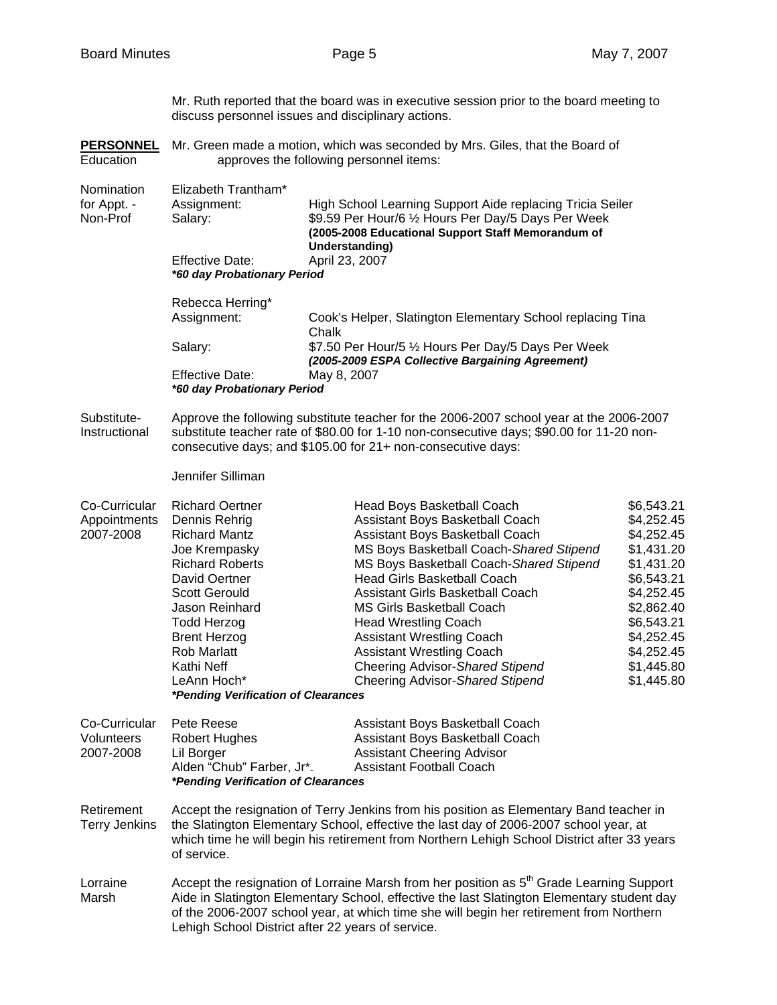Mr. Ruth reported that the board was in executive session prior to the board meeting to discuss personnel issues and disciplinary actions. **PERSONNEL** Mr. Green made a motion, which was seconded by Mrs. Giles, that the Board of Education approves the following personnel items: Nomination Elizabeth Trantham\* for Appt. - Assignment: High School Learning Support Aide replacing Tricia Seiler Non-Prof Salary: \$9.59 Per Hour/6 1/2 Hours Per Day/5 Days Per Week **(2005-2008 Educational Support Staff Memorandum of Understanding)**  Effective Date: April 23, 2007 *\*60 day Probationary Period*  Rebecca Herring\* Assignment: Cook's Helper, Slatington Elementary School replacing Tina **Chalk** Salary: **\$7.50 Per Hour/5 1/2 Hours Per Day/5 Days Per Week**  *(2005-2009 ESPA Collective Bargaining Agreement)*  Effective Date: May 8, 2007 *\*60 day Probationary Period*  Substitute- Approve the following substitute teacher for the 2006-2007 school year at the 2006-2007 Instructional substitute teacher rate of \$80.00 for 1-10 non-consecutive days; \$90.00 for 11-20 non consecutive days; and \$105.00 for 21+ non-consecutive days: Jennifer Silliman Co-Curricular Richard Oertner Head Boys Basketball Coach \$6,543.21 Appointments Dennis Rehrig Assistant Boys Basketball Coach \$4,252.45 2007-2008 Richard Mantz Assistant Boys Basketball Coach \$4,252.45 Joe Krempasky MS Boys Basketball Coach-*Shared Stipend* \$1,431.20 Richard Roberts MS Boys Basketball Coach-*Shared Stipend* \$1,431.20 David Oertner Head Girls Basketball Coach \$6,543.21 Scott Gerould **Assistant Girls Basketball Coach** \$4,252.45 Jason Reinhard MS Girls Basketball Coach \$2,862.40 Todd Herzog **Head Wrestling Coach** \$6,543.21 Brent Herzog **Assistant Wrestling Coach** \$4,252.45 Rob Marlatt **Assistant Wrestling Coach** \$4,252.45 Kathi Neff Cheering Advisor-*Shared Stipend* \$1,445.80 LeAnn Hoch<sup>\*</sup> Cheering Advisor-Shared Stipend \$1,445.80 *\*Pending Verification of Clearances*  Co-Curricular Pete Reese **Assistant Boys Basketball Coach** Volunteers Robert Hughes **Assistant Boys Basketball Coach** 2007-2008 Lil Borger Assistant Cheering Advisor Alden "Chub" Farber, Jr\*. Assistant Football Coach *\*Pending Verification of Clearances* Retirement Accept the resignation of Terry Jenkins from his position as Elementary Band teacher in<br>Terry Jenkins the Slatington Elementary School, effective the last day of 2006-2007 school year, at the Slatington Elementary School, effective the last day of 2006-2007 school year, at which time he will begin his retirement from Northern Lehigh School District after 33 years

Lorraine Accept the resignation of Lorraine Marsh from her position as  $5<sup>th</sup>$  Grade Learning Support Marsh Aide in Slatington Elementary School, effective the last Slatington Elementary student day of the 2006-2007 school year, at which time she will begin her retirement from Northern Lehigh School District after 22 years of service.

of service.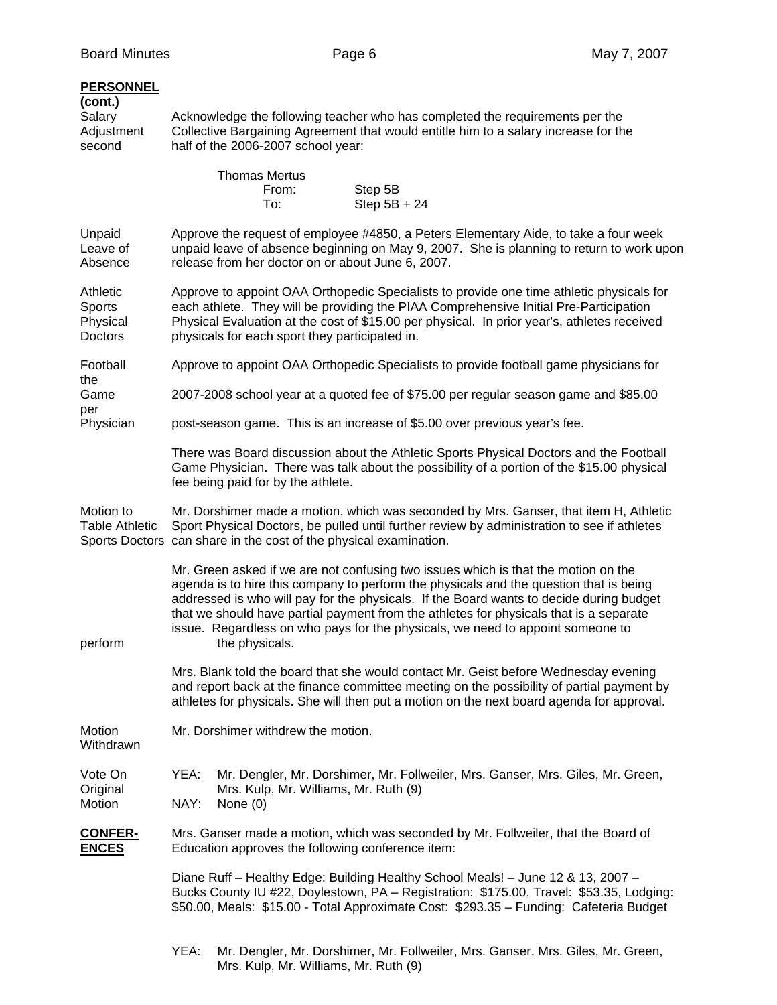| <b>PERSONNEL</b><br>(cont.)<br>Salary<br>Adjustment<br>second | Acknowledge the following teacher who has completed the requirements per the<br>Collective Bargaining Agreement that would entitle him to a salary increase for the<br>half of the 2006-2007 school year:                                                                                                                                                                                                                                                             |  |  |  |
|---------------------------------------------------------------|-----------------------------------------------------------------------------------------------------------------------------------------------------------------------------------------------------------------------------------------------------------------------------------------------------------------------------------------------------------------------------------------------------------------------------------------------------------------------|--|--|--|
|                                                               | <b>Thomas Mertus</b><br>From:<br>Step 5B<br>Step 5B + 24<br>To:                                                                                                                                                                                                                                                                                                                                                                                                       |  |  |  |
| Unpaid<br>Leave of<br>Absence                                 | Approve the request of employee #4850, a Peters Elementary Aide, to take a four week<br>unpaid leave of absence beginning on May 9, 2007. She is planning to return to work upon<br>release from her doctor on or about June 6, 2007.                                                                                                                                                                                                                                 |  |  |  |
| Athletic<br>Sports<br>Physical<br>Doctors                     | Approve to appoint OAA Orthopedic Specialists to provide one time athletic physicals for<br>each athlete. They will be providing the PIAA Comprehensive Initial Pre-Participation<br>Physical Evaluation at the cost of \$15.00 per physical. In prior year's, athletes received<br>physicals for each sport they participated in.                                                                                                                                    |  |  |  |
| Football                                                      | Approve to appoint OAA Orthopedic Specialists to provide football game physicians for                                                                                                                                                                                                                                                                                                                                                                                 |  |  |  |
| the<br>Game                                                   | 2007-2008 school year at a quoted fee of \$75.00 per regular season game and \$85.00                                                                                                                                                                                                                                                                                                                                                                                  |  |  |  |
| per<br>Physician                                              | post-season game. This is an increase of \$5.00 over previous year's fee.                                                                                                                                                                                                                                                                                                                                                                                             |  |  |  |
|                                                               | There was Board discussion about the Athletic Sports Physical Doctors and the Football<br>Game Physician. There was talk about the possibility of a portion of the \$15.00 physical<br>fee being paid for by the athlete.                                                                                                                                                                                                                                             |  |  |  |
| Motion to<br><b>Table Athletic</b>                            | Mr. Dorshimer made a motion, which was seconded by Mrs. Ganser, that item H, Athletic<br>Sport Physical Doctors, be pulled until further review by administration to see if athletes<br>Sports Doctors can share in the cost of the physical examination.                                                                                                                                                                                                             |  |  |  |
| perform                                                       | Mr. Green asked if we are not confusing two issues which is that the motion on the<br>agenda is to hire this company to perform the physicals and the question that is being<br>addressed is who will pay for the physicals. If the Board wants to decide during budget<br>that we should have partial payment from the athletes for physicals that is a separate<br>issue. Regardless on who pays for the physicals, we need to appoint someone to<br>the physicals. |  |  |  |
|                                                               | Mrs. Blank told the board that she would contact Mr. Geist before Wednesday evening<br>and report back at the finance committee meeting on the possibility of partial payment by<br>athletes for physicals. She will then put a motion on the next board agenda for approval.                                                                                                                                                                                         |  |  |  |
| Motion<br>Withdrawn                                           | Mr. Dorshimer withdrew the motion.                                                                                                                                                                                                                                                                                                                                                                                                                                    |  |  |  |
| Vote On<br>Original<br>Motion                                 | Mr. Dengler, Mr. Dorshimer, Mr. Follweiler, Mrs. Ganser, Mrs. Giles, Mr. Green,<br>YEA:<br>Mrs. Kulp, Mr. Williams, Mr. Ruth (9)<br>NAY:<br>None $(0)$                                                                                                                                                                                                                                                                                                                |  |  |  |
| <b>CONFER-</b><br><b>ENCES</b>                                | Mrs. Ganser made a motion, which was seconded by Mr. Follweiler, that the Board of<br>Education approves the following conference item:                                                                                                                                                                                                                                                                                                                               |  |  |  |
|                                                               | Diane Ruff - Healthy Edge: Building Healthy School Meals! - June 12 & 13, 2007 -<br>Bucks County IU #22, Doylestown, PA - Registration: \$175.00, Travel: \$53.35, Lodging:<br>\$50.00, Meals: \$15.00 - Total Approximate Cost: \$293.35 - Funding: Cafeteria Budget                                                                                                                                                                                                 |  |  |  |
|                                                               | YEA:<br>Mr. Dengler, Mr. Dorshimer, Mr. Follweiler, Mrs. Ganser, Mrs. Giles, Mr. Green,<br>Mrs. Kulp, Mr. Williams, Mr. Ruth (9)                                                                                                                                                                                                                                                                                                                                      |  |  |  |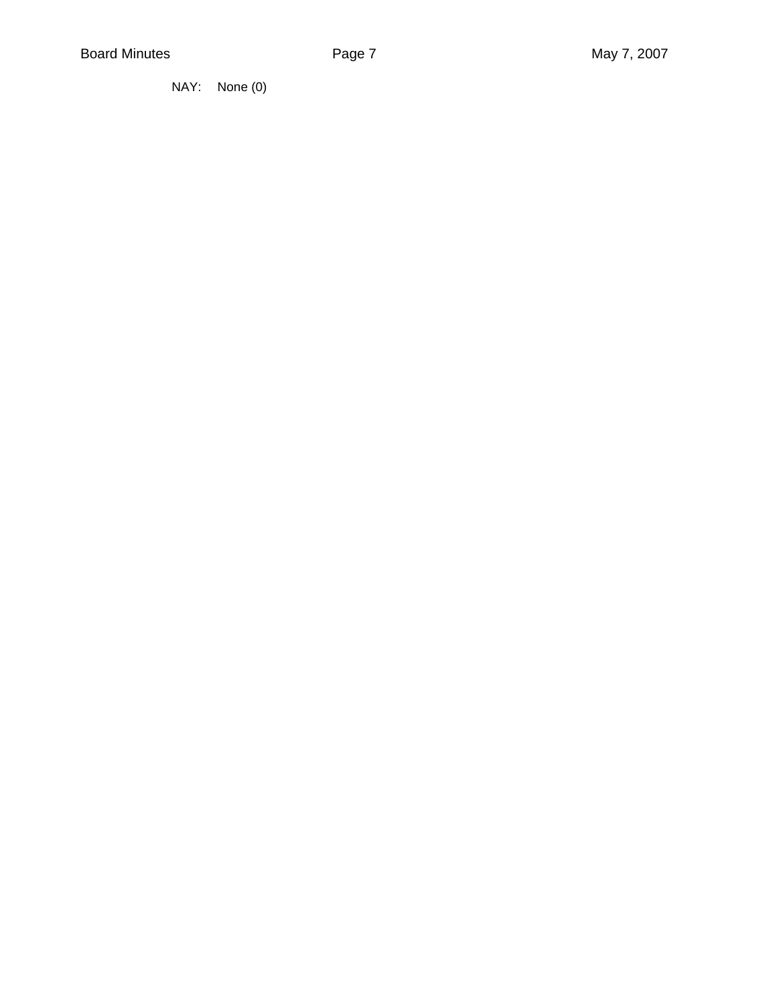NAY: None (0)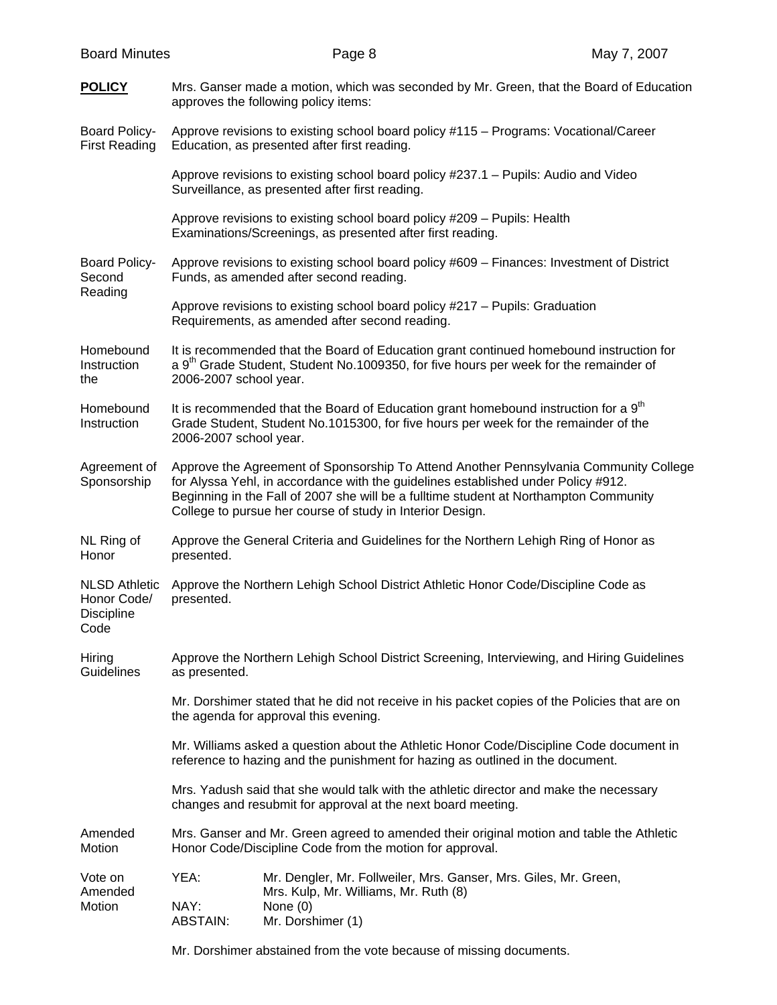| <b>Board Minutes</b>                                             |                                                                                                                                                                                                                                                                                                                                  | Page 8                                                                                                                                       | May 7, 2007 |  |  |  |  |
|------------------------------------------------------------------|----------------------------------------------------------------------------------------------------------------------------------------------------------------------------------------------------------------------------------------------------------------------------------------------------------------------------------|----------------------------------------------------------------------------------------------------------------------------------------------|-------------|--|--|--|--|
| <b>POLICY</b>                                                    | Mrs. Ganser made a motion, which was seconded by Mr. Green, that the Board of Education<br>approves the following policy items:                                                                                                                                                                                                  |                                                                                                                                              |             |  |  |  |  |
| <b>Board Policy-</b><br><b>First Reading</b>                     | Education, as presented after first reading.                                                                                                                                                                                                                                                                                     | Approve revisions to existing school board policy #115 - Programs: Vocational/Career                                                         |             |  |  |  |  |
|                                                                  |                                                                                                                                                                                                                                                                                                                                  | Approve revisions to existing school board policy #237.1 – Pupils: Audio and Video<br>Surveillance, as presented after first reading.        |             |  |  |  |  |
|                                                                  |                                                                                                                                                                                                                                                                                                                                  | Approve revisions to existing school board policy #209 - Pupils: Health<br>Examinations/Screenings, as presented after first reading.        |             |  |  |  |  |
| <b>Board Policy-</b><br>Second<br>Reading                        | Approve revisions to existing school board policy #609 - Finances: Investment of District<br>Funds, as amended after second reading.                                                                                                                                                                                             |                                                                                                                                              |             |  |  |  |  |
|                                                                  |                                                                                                                                                                                                                                                                                                                                  | Approve revisions to existing school board policy #217 - Pupils: Graduation<br>Requirements, as amended after second reading.                |             |  |  |  |  |
| Homebound<br>Instruction<br>the                                  | It is recommended that the Board of Education grant continued homebound instruction for<br>a 9 <sup>th</sup> Grade Student, Student No.1009350, for five hours per week for the remainder of<br>2006-2007 school year.                                                                                                           |                                                                                                                                              |             |  |  |  |  |
| Homebound<br>Instruction                                         | It is recommended that the Board of Education grant homebound instruction for a 9 <sup>th</sup><br>Grade Student, Student No.1015300, for five hours per week for the remainder of the<br>2006-2007 school year.                                                                                                                 |                                                                                                                                              |             |  |  |  |  |
| Agreement of<br>Sponsorship                                      | Approve the Agreement of Sponsorship To Attend Another Pennsylvania Community College<br>for Alyssa Yehl, in accordance with the guidelines established under Policy #912.<br>Beginning in the Fall of 2007 she will be a fulltime student at Northampton Community<br>College to pursue her course of study in Interior Design. |                                                                                                                                              |             |  |  |  |  |
| NL Ring of<br>Honor                                              | Approve the General Criteria and Guidelines for the Northern Lehigh Ring of Honor as<br>presented.                                                                                                                                                                                                                               |                                                                                                                                              |             |  |  |  |  |
| <b>NLSD Athletic</b><br>Honor Code/<br><b>Discipline</b><br>Code | Approve the Northern Lehigh School District Athletic Honor Code/Discipline Code as<br>presented.                                                                                                                                                                                                                                 |                                                                                                                                              |             |  |  |  |  |
| Hiring<br>Guidelines                                             | Approve the Northern Lehigh School District Screening, Interviewing, and Hiring Guidelines<br>as presented.                                                                                                                                                                                                                      |                                                                                                                                              |             |  |  |  |  |
|                                                                  | Mr. Dorshimer stated that he did not receive in his packet copies of the Policies that are on                                                                                                                                                                                                                                    |                                                                                                                                              |             |  |  |  |  |
|                                                                  | Mr. Williams asked a question about the Athletic Honor Code/Discipline Code document in<br>reference to hazing and the punishment for hazing as outlined in the document.                                                                                                                                                        |                                                                                                                                              |             |  |  |  |  |
|                                                                  | Mrs. Yadush said that she would talk with the athletic director and make the necessary<br>changes and resubmit for approval at the next board meeting.                                                                                                                                                                           |                                                                                                                                              |             |  |  |  |  |
| Amended<br>Motion                                                | Mrs. Ganser and Mr. Green agreed to amended their original motion and table the Athletic<br>Honor Code/Discipline Code from the motion for approval.                                                                                                                                                                             |                                                                                                                                              |             |  |  |  |  |
| Vote on<br>Amended<br>Motion                                     | YEA:<br>NAY:<br><b>ABSTAIN:</b>                                                                                                                                                                                                                                                                                                  | Mr. Dengler, Mr. Follweiler, Mrs. Ganser, Mrs. Giles, Mr. Green,<br>Mrs. Kulp, Mr. Williams, Mr. Ruth (8)<br>None $(0)$<br>Mr. Dorshimer (1) |             |  |  |  |  |
|                                                                  |                                                                                                                                                                                                                                                                                                                                  |                                                                                                                                              |             |  |  |  |  |

Mr. Dorshimer abstained from the vote because of missing documents.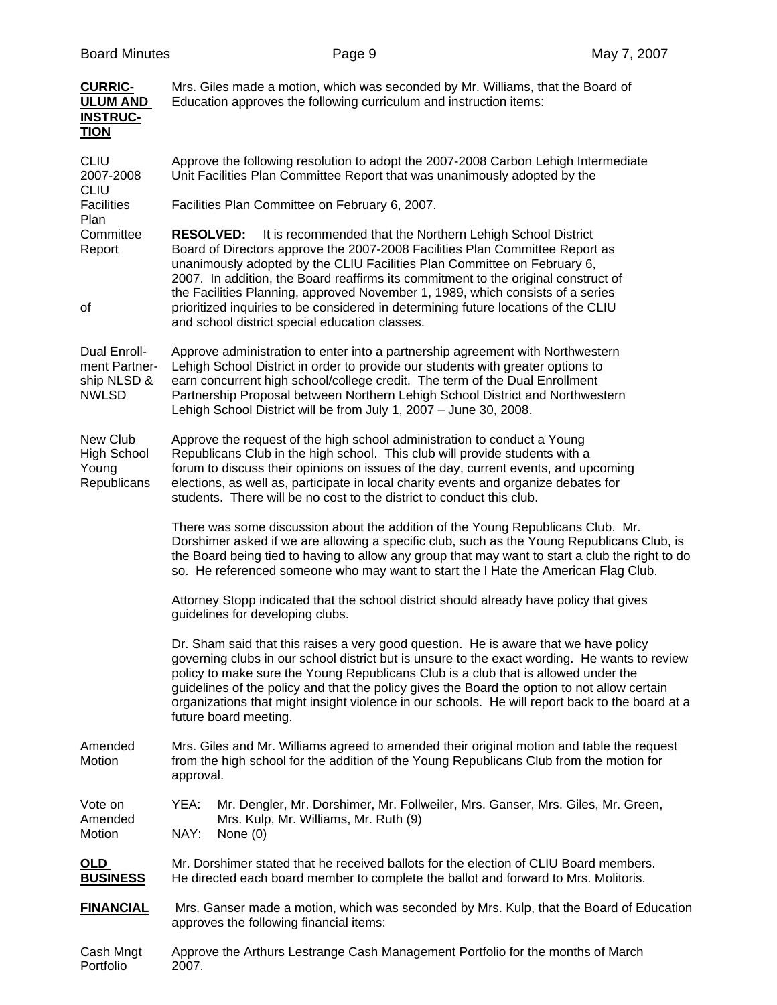| <b>CURRIC-</b><br><b>ULUM AND</b><br><b>INSTRUC-</b><br><b>TION</b> | Mrs. Giles made a motion, which was seconded by Mr. Williams, that the Board of<br>Education approves the following curriculum and instruction items:                                                                                                                                                                                                                                                                                                                                                   |  |  |  |  |  |
|---------------------------------------------------------------------|---------------------------------------------------------------------------------------------------------------------------------------------------------------------------------------------------------------------------------------------------------------------------------------------------------------------------------------------------------------------------------------------------------------------------------------------------------------------------------------------------------|--|--|--|--|--|
| <b>CLIU</b><br>2007-2008<br><b>CLIU</b>                             | Approve the following resolution to adopt the 2007-2008 Carbon Lehigh Intermediate<br>Unit Facilities Plan Committee Report that was unanimously adopted by the                                                                                                                                                                                                                                                                                                                                         |  |  |  |  |  |
| <b>Facilities</b><br>Plan                                           | Facilities Plan Committee on February 6, 2007.                                                                                                                                                                                                                                                                                                                                                                                                                                                          |  |  |  |  |  |
| Committee<br>Report<br>οf                                           | <b>RESOLVED:</b><br>It is recommended that the Northern Lehigh School District<br>Board of Directors approve the 2007-2008 Facilities Plan Committee Report as<br>unanimously adopted by the CLIU Facilities Plan Committee on February 6,<br>2007. In addition, the Board reaffirms its commitment to the original construct of<br>the Facilities Planning, approved November 1, 1989, which consists of a series                                                                                      |  |  |  |  |  |
|                                                                     | prioritized inquiries to be considered in determining future locations of the CLIU<br>and school district special education classes.                                                                                                                                                                                                                                                                                                                                                                    |  |  |  |  |  |
| Dual Enroll-<br>ment Partner-<br>ship NLSD &<br><b>NWLSD</b>        | Approve administration to enter into a partnership agreement with Northwestern<br>Lehigh School District in order to provide our students with greater options to<br>earn concurrent high school/college credit. The term of the Dual Enrollment<br>Partnership Proposal between Northern Lehigh School District and Northwestern<br>Lehigh School District will be from July 1, 2007 - June 30, 2008.                                                                                                  |  |  |  |  |  |
| New Club<br><b>High School</b><br>Young<br>Republicans              | Approve the request of the high school administration to conduct a Young<br>Republicans Club in the high school. This club will provide students with a<br>forum to discuss their opinions on issues of the day, current events, and upcoming<br>elections, as well as, participate in local charity events and organize debates for<br>students. There will be no cost to the district to conduct this club.                                                                                           |  |  |  |  |  |
|                                                                     | There was some discussion about the addition of the Young Republicans Club. Mr.<br>Dorshimer asked if we are allowing a specific club, such as the Young Republicans Club, is<br>the Board being tied to having to allow any group that may want to start a club the right to do<br>so. He referenced someone who may want to start the I Hate the American Flag Club.                                                                                                                                  |  |  |  |  |  |
|                                                                     | Attorney Stopp indicated that the school district should already have policy that gives<br>guidelines for developing clubs.                                                                                                                                                                                                                                                                                                                                                                             |  |  |  |  |  |
|                                                                     | Dr. Sham said that this raises a very good question. He is aware that we have policy<br>governing clubs in our school district but is unsure to the exact wording. He wants to review<br>policy to make sure the Young Republicans Club is a club that is allowed under the<br>guidelines of the policy and that the policy gives the Board the option to not allow certain<br>organizations that might insight violence in our schools. He will report back to the board at a<br>future board meeting. |  |  |  |  |  |
| Amended<br>Motion                                                   | Mrs. Giles and Mr. Williams agreed to amended their original motion and table the request<br>from the high school for the addition of the Young Republicans Club from the motion for<br>approval.                                                                                                                                                                                                                                                                                                       |  |  |  |  |  |
| Vote on<br>Amended<br>Motion                                        | YEA:<br>Mr. Dengler, Mr. Dorshimer, Mr. Follweiler, Mrs. Ganser, Mrs. Giles, Mr. Green,<br>Mrs. Kulp, Mr. Williams, Mr. Ruth (9)<br>NAY:<br>None $(0)$                                                                                                                                                                                                                                                                                                                                                  |  |  |  |  |  |
| <u>OLD</u><br><b>BUSINESS</b>                                       | Mr. Dorshimer stated that he received ballots for the election of CLIU Board members.<br>He directed each board member to complete the ballot and forward to Mrs. Molitoris.                                                                                                                                                                                                                                                                                                                            |  |  |  |  |  |
| <b>FINANCIAL</b>                                                    | Mrs. Ganser made a motion, which was seconded by Mrs. Kulp, that the Board of Education<br>approves the following financial items:                                                                                                                                                                                                                                                                                                                                                                      |  |  |  |  |  |
| Cash Mngt<br>Portfolio                                              | Approve the Arthurs Lestrange Cash Management Portfolio for the months of March<br>2007.                                                                                                                                                                                                                                                                                                                                                                                                                |  |  |  |  |  |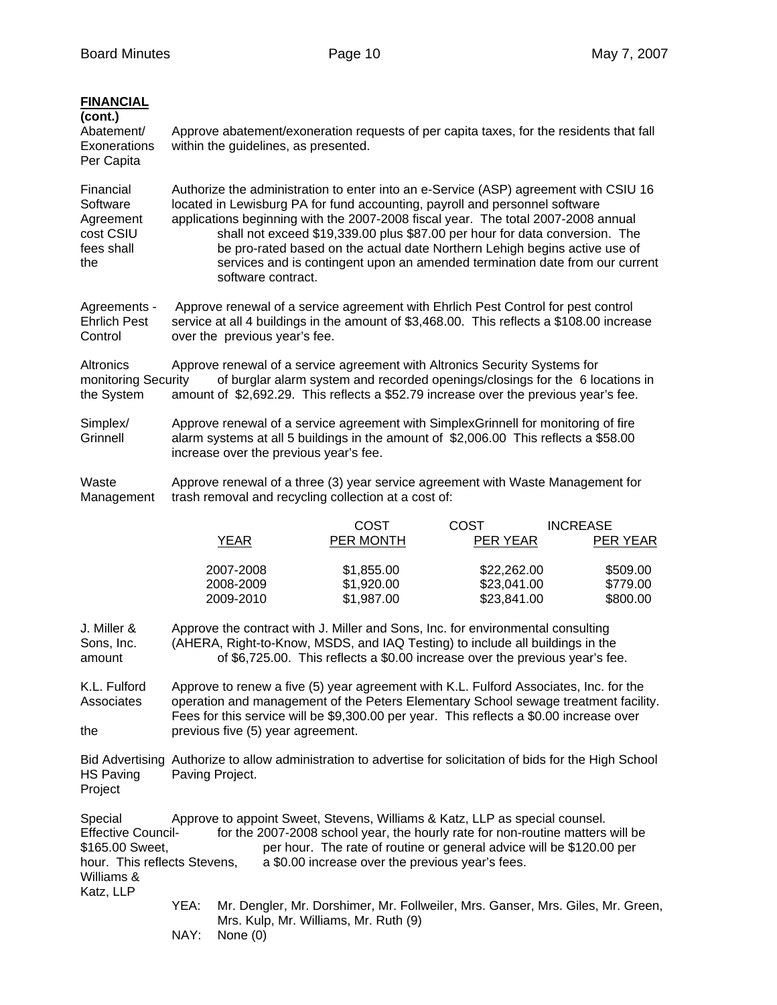| <b>FINANCIAL</b><br>(cont.)<br>Abatement/<br>Exonerations<br>Per Capita                                            | Approve abatement/exoneration requests of per capita taxes, for the residents that fall<br>within the guidelines, as presented.                                                                                                                                                                                                                                                                                                                                                                                             |                                                                                                                                                                                                                 |  |                                        |                                                                                                                                                                                                                                                                                           |             |                                           |                 |                                  |
|--------------------------------------------------------------------------------------------------------------------|-----------------------------------------------------------------------------------------------------------------------------------------------------------------------------------------------------------------------------------------------------------------------------------------------------------------------------------------------------------------------------------------------------------------------------------------------------------------------------------------------------------------------------|-----------------------------------------------------------------------------------------------------------------------------------------------------------------------------------------------------------------|--|----------------------------------------|-------------------------------------------------------------------------------------------------------------------------------------------------------------------------------------------------------------------------------------------------------------------------------------------|-------------|-------------------------------------------|-----------------|----------------------------------|
| Financial<br>Software<br>Agreement<br>cost CSIU<br>fees shall<br>the                                               | Authorize the administration to enter into an e-Service (ASP) agreement with CSIU 16<br>located in Lewisburg PA for fund accounting, payroll and personnel software<br>applications beginning with the 2007-2008 fiscal year. The total 2007-2008 annual<br>shall not exceed \$19,339.00 plus \$87.00 per hour for data conversion. The<br>be pro-rated based on the actual date Northern Lehigh begins active use of<br>services and is contingent upon an amended termination date from our current<br>software contract. |                                                                                                                                                                                                                 |  |                                        |                                                                                                                                                                                                                                                                                           |             |                                           |                 |                                  |
| Agreements -<br><b>Ehrlich Pest</b><br>Control                                                                     |                                                                                                                                                                                                                                                                                                                                                                                                                                                                                                                             | Approve renewal of a service agreement with Ehrlich Pest Control for pest control<br>service at all 4 buildings in the amount of \$3,468.00. This reflects a \$108.00 increase<br>over the previous year's fee. |  |                                        |                                                                                                                                                                                                                                                                                           |             |                                           |                 |                                  |
| Altronics<br>the System                                                                                            | Approve renewal of a service agreement with Altronics Security Systems for<br>of burglar alarm system and recorded openings/closings for the 6 locations in<br>monitoring Security<br>amount of \$2,692.29. This reflects a \$52.79 increase over the previous year's fee.                                                                                                                                                                                                                                                  |                                                                                                                                                                                                                 |  |                                        |                                                                                                                                                                                                                                                                                           |             |                                           |                 |                                  |
| Simplex/<br>Grinnell                                                                                               | Approve renewal of a service agreement with SimplexGrinnell for monitoring of fire<br>alarm systems at all 5 buildings in the amount of \$2,006.00 This reflects a \$58.00<br>increase over the previous year's fee.                                                                                                                                                                                                                                                                                                        |                                                                                                                                                                                                                 |  |                                        |                                                                                                                                                                                                                                                                                           |             |                                           |                 |                                  |
| Waste<br>Management                                                                                                | Approve renewal of a three (3) year service agreement with Waste Management for<br>trash removal and recycling collection at a cost of:                                                                                                                                                                                                                                                                                                                                                                                     |                                                                                                                                                                                                                 |  |                                        |                                                                                                                                                                                                                                                                                           |             |                                           |                 |                                  |
|                                                                                                                    |                                                                                                                                                                                                                                                                                                                                                                                                                                                                                                                             | <b>YEAR</b>                                                                                                                                                                                                     |  | <b>COST</b><br>PER MONTH               |                                                                                                                                                                                                                                                                                           | <b>COST</b> | PER YEAR                                  | <b>INCREASE</b> | <b>PER YEAR</b>                  |
|                                                                                                                    |                                                                                                                                                                                                                                                                                                                                                                                                                                                                                                                             | 2007-2008<br>2008-2009<br>2009-2010                                                                                                                                                                             |  | \$1,855.00<br>\$1,920.00<br>\$1,987.00 |                                                                                                                                                                                                                                                                                           |             | \$22,262.00<br>\$23,041.00<br>\$23,841.00 |                 | \$509.00<br>\$779.00<br>\$800.00 |
| J. Miller &<br>Sons, Inc.<br>amount                                                                                | Approve the contract with J. Miller and Sons, Inc. for environmental consulting<br>(AHERA, Right-to-Know, MSDS, and IAQ Testing) to include all buildings in the<br>of \$6,725.00. This reflects a \$0.00 increase over the previous year's fee.                                                                                                                                                                                                                                                                            |                                                                                                                                                                                                                 |  |                                        |                                                                                                                                                                                                                                                                                           |             |                                           |                 |                                  |
| K.L. Fulford<br>Associates<br>the                                                                                  | Approve to renew a five (5) year agreement with K.L. Fulford Associates, Inc. for the<br>operation and management of the Peters Elementary School sewage treatment facility.<br>Fees for this service will be \$9,300.00 per year. This reflects a \$0.00 increase over<br>previous five (5) year agreement.                                                                                                                                                                                                                |                                                                                                                                                                                                                 |  |                                        |                                                                                                                                                                                                                                                                                           |             |                                           |                 |                                  |
| <b>HS Paving</b><br>Project                                                                                        | Bid Advertising Authorize to allow administration to advertise for solicitation of bids for the High School<br>Paving Project.                                                                                                                                                                                                                                                                                                                                                                                              |                                                                                                                                                                                                                 |  |                                        |                                                                                                                                                                                                                                                                                           |             |                                           |                 |                                  |
| Special<br><b>Effective Council-</b><br>\$165.00 Sweet,<br>hour. This reflects Stevens,<br>Williams &<br>Katz, LLP |                                                                                                                                                                                                                                                                                                                                                                                                                                                                                                                             |                                                                                                                                                                                                                 |  |                                        | Approve to appoint Sweet, Stevens, Williams & Katz, LLP as special counsel.<br>for the 2007-2008 school year, the hourly rate for non-routine matters will be<br>per hour. The rate of routine or general advice will be \$120.00 per<br>a \$0.00 increase over the previous year's fees. |             |                                           |                 |                                  |
|                                                                                                                    | YEA:<br>Mr. Dengler, Mr. Dorshimer, Mr. Follweiler, Mrs. Ganser, Mrs. Giles, Mr. Green,<br>Mrs. Kulp, Mr. Williams, Mr. Ruth (9)<br>NAY:<br>None $(0)$                                                                                                                                                                                                                                                                                                                                                                      |                                                                                                                                                                                                                 |  |                                        |                                                                                                                                                                                                                                                                                           |             |                                           |                 |                                  |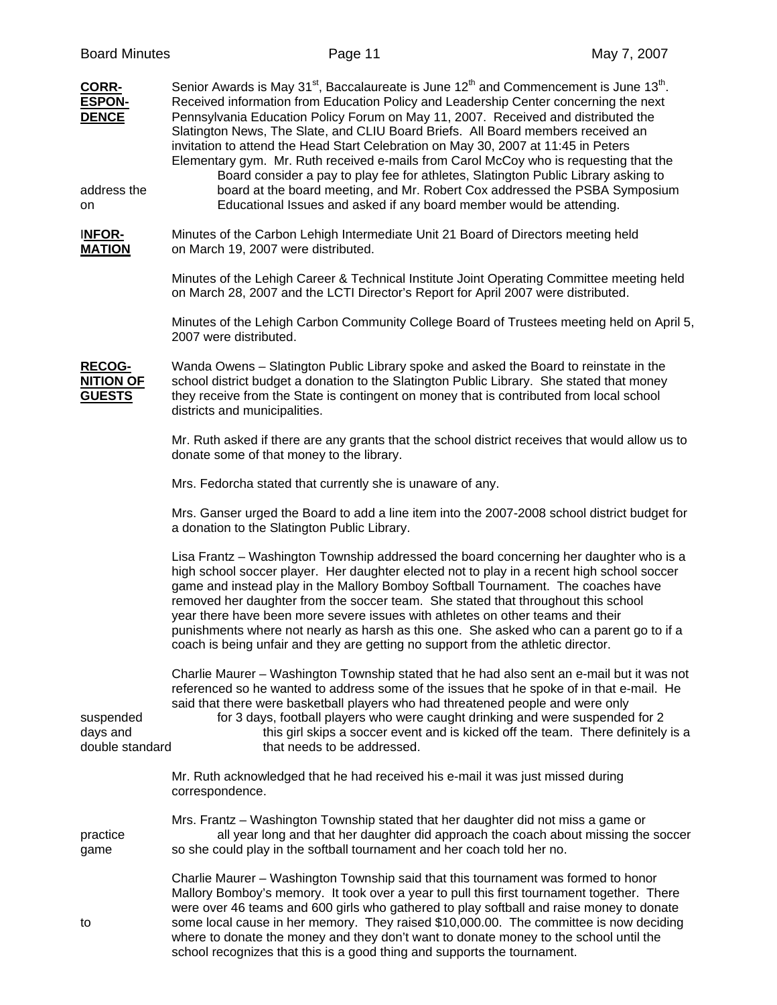| <b>Board Minutes</b>                               | Page 11                                                                                                                                                                                                                                                                                                                                                                                                                                                                                                                                                                                                                                                | May 7, 2007 |
|----------------------------------------------------|--------------------------------------------------------------------------------------------------------------------------------------------------------------------------------------------------------------------------------------------------------------------------------------------------------------------------------------------------------------------------------------------------------------------------------------------------------------------------------------------------------------------------------------------------------------------------------------------------------------------------------------------------------|-------------|
| <b>CORR-</b><br><b>ESPON-</b><br><b>DENCE</b>      | Senior Awards is May 31 <sup>st</sup> , Baccalaureate is June $12th$ and Commencement is June 13 <sup>th</sup> .<br>Received information from Education Policy and Leadership Center concerning the next<br>Pennsylvania Education Policy Forum on May 11, 2007. Received and distributed the<br>Slatington News, The Slate, and CLIU Board Briefs. All Board members received an<br>invitation to attend the Head Start Celebration on May 30, 2007 at 11:45 in Peters<br>Elementary gym. Mr. Ruth received e-mails from Carol McCoy who is requesting that the<br>Board consider a pay to play fee for athletes, Slatington Public Library asking to |             |
| address the<br>on                                  | board at the board meeting, and Mr. Robert Cox addressed the PSBA Symposium<br>Educational Issues and asked if any board member would be attending.                                                                                                                                                                                                                                                                                                                                                                                                                                                                                                    |             |
| <b>INFOR-</b><br><b>MATION</b>                     | Minutes of the Carbon Lehigh Intermediate Unit 21 Board of Directors meeting held<br>on March 19, 2007 were distributed.                                                                                                                                                                                                                                                                                                                                                                                                                                                                                                                               |             |
|                                                    | Minutes of the Lehigh Career & Technical Institute Joint Operating Committee meeting held<br>on March 28, 2007 and the LCTI Director's Report for April 2007 were distributed.                                                                                                                                                                                                                                                                                                                                                                                                                                                                         |             |
|                                                    | Minutes of the Lehigh Carbon Community College Board of Trustees meeting held on April 5,<br>2007 were distributed.                                                                                                                                                                                                                                                                                                                                                                                                                                                                                                                                    |             |
| <b>RECOG-</b><br><b>NITION OF</b><br><b>GUESTS</b> | Wanda Owens - Slatington Public Library spoke and asked the Board to reinstate in the<br>school district budget a donation to the Slatington Public Library. She stated that money<br>they receive from the State is contingent on money that is contributed from local school<br>districts and municipalities.                                                                                                                                                                                                                                                                                                                                        |             |
|                                                    | Mr. Ruth asked if there are any grants that the school district receives that would allow us to<br>donate some of that money to the library.                                                                                                                                                                                                                                                                                                                                                                                                                                                                                                           |             |
|                                                    | Mrs. Fedorcha stated that currently she is unaware of any.                                                                                                                                                                                                                                                                                                                                                                                                                                                                                                                                                                                             |             |
|                                                    | Mrs. Ganser urged the Board to add a line item into the 2007-2008 school district budget for<br>a donation to the Slatington Public Library.                                                                                                                                                                                                                                                                                                                                                                                                                                                                                                           |             |
|                                                    | Lisa Frantz - Washington Township addressed the board concerning her daughter who is a<br>high school soccer player. Her daughter elected not to play in a recent high school soccer<br>game and instead play in the Mallory Bomboy Softball Tournament. The coaches have<br>removed her daughter from the soccer team. She stated that throughout this school<br>year there have been more severe issues with athletes on other teams and their<br>punishments where not nearly as harsh as this one. She asked who can a parent go to if a<br>coach is being unfair and they are getting no support from the athletic director.                      |             |
| suspended<br>days and<br>double standard           | Charlie Maurer - Washington Township stated that he had also sent an e-mail but it was not<br>referenced so he wanted to address some of the issues that he spoke of in that e-mail. He<br>said that there were basketball players who had threatened people and were only<br>for 3 days, football players who were caught drinking and were suspended for 2<br>this girl skips a soccer event and is kicked off the team. There definitely is a<br>that needs to be addressed.                                                                                                                                                                        |             |
|                                                    | Mr. Ruth acknowledged that he had received his e-mail it was just missed during<br>correspondence.                                                                                                                                                                                                                                                                                                                                                                                                                                                                                                                                                     |             |
| practice<br>game                                   | Mrs. Frantz – Washington Township stated that her daughter did not miss a game or<br>all year long and that her daughter did approach the coach about missing the soccer<br>so she could play in the softball tournament and her coach told her no.                                                                                                                                                                                                                                                                                                                                                                                                    |             |
| to                                                 | Charlie Maurer - Washington Township said that this tournament was formed to honor<br>Mallory Bomboy's memory. It took over a year to pull this first tournament together. There<br>were over 46 teams and 600 girls who gathered to play softball and raise money to donate<br>some local cause in her memory. They raised \$10,000.00. The committee is now deciding<br>where to donate the money and they don't want to donate money to the school until the<br>school recognizes that this is a good thing and supports the tournament.                                                                                                            |             |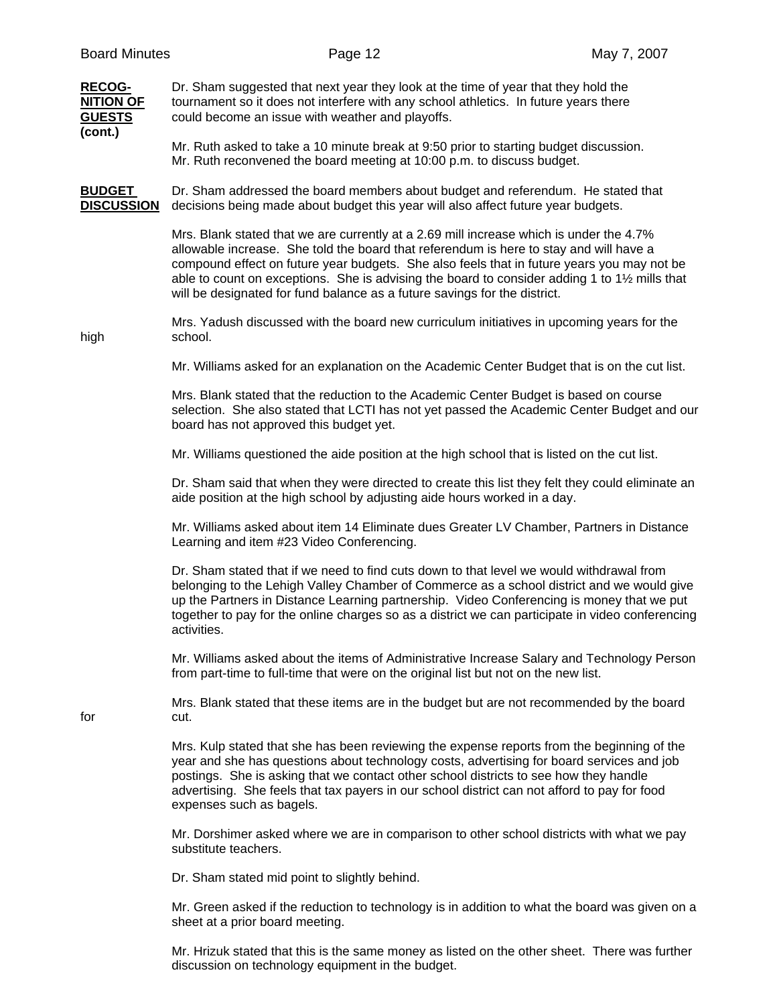**RECOG-** Dr. Sham suggested that next year they look at the time of year that they hold the **NITION OF** tournament so it does not interfere with any school athletics. In future years there **GUESTS** could become an issue with weather and playoffs. **(cont.)** 

 Mr. Ruth asked to take a 10 minute break at 9:50 prior to starting budget discussion. Mr. Ruth reconvened the board meeting at 10:00 p.m. to discuss budget.

**BUDGET** Dr. Sham addressed the board members about budget and referendum. He stated that **DISCUSSION** decisions being made about budget this year will also affect future year budgets.

> Mrs. Blank stated that we are currently at a 2.69 mill increase which is under the 4.7% allowable increase. She told the board that referendum is here to stay and will have a compound effect on future year budgets. She also feels that in future years you may not be able to count on exceptions. She is advising the board to consider adding 1 to 1½ mills that will be designated for fund balance as a future savings for the district.

 Mrs. Yadush discussed with the board new curriculum initiatives in upcoming years for the high school.

Mr. Williams asked for an explanation on the Academic Center Budget that is on the cut list.

 Mrs. Blank stated that the reduction to the Academic Center Budget is based on course selection. She also stated that LCTI has not yet passed the Academic Center Budget and our board has not approved this budget yet.

Mr. Williams questioned the aide position at the high school that is listed on the cut list.

 Dr. Sham said that when they were directed to create this list they felt they could eliminate an aide position at the high school by adjusting aide hours worked in a day.

 Mr. Williams asked about item 14 Eliminate dues Greater LV Chamber, Partners in Distance Learning and item #23 Video Conferencing.

 Dr. Sham stated that if we need to find cuts down to that level we would withdrawal from belonging to the Lehigh Valley Chamber of Commerce as a school district and we would give up the Partners in Distance Learning partnership. Video Conferencing is money that we put together to pay for the online charges so as a district we can participate in video conferencing activities.

 Mr. Williams asked about the items of Administrative Increase Salary and Technology Person from part-time to full-time that were on the original list but not on the new list.

 Mrs. Blank stated that these items are in the budget but are not recommended by the board for cut.

> Mrs. Kulp stated that she has been reviewing the expense reports from the beginning of the year and she has questions about technology costs, advertising for board services and job postings. She is asking that we contact other school districts to see how they handle advertising. She feels that tax payers in our school district can not afford to pay for food expenses such as bagels.

> Mr. Dorshimer asked where we are in comparison to other school districts with what we pay substitute teachers.

Dr. Sham stated mid point to slightly behind.

 Mr. Green asked if the reduction to technology is in addition to what the board was given on a sheet at a prior board meeting.

 Mr. Hrizuk stated that this is the same money as listed on the other sheet. There was further discussion on technology equipment in the budget.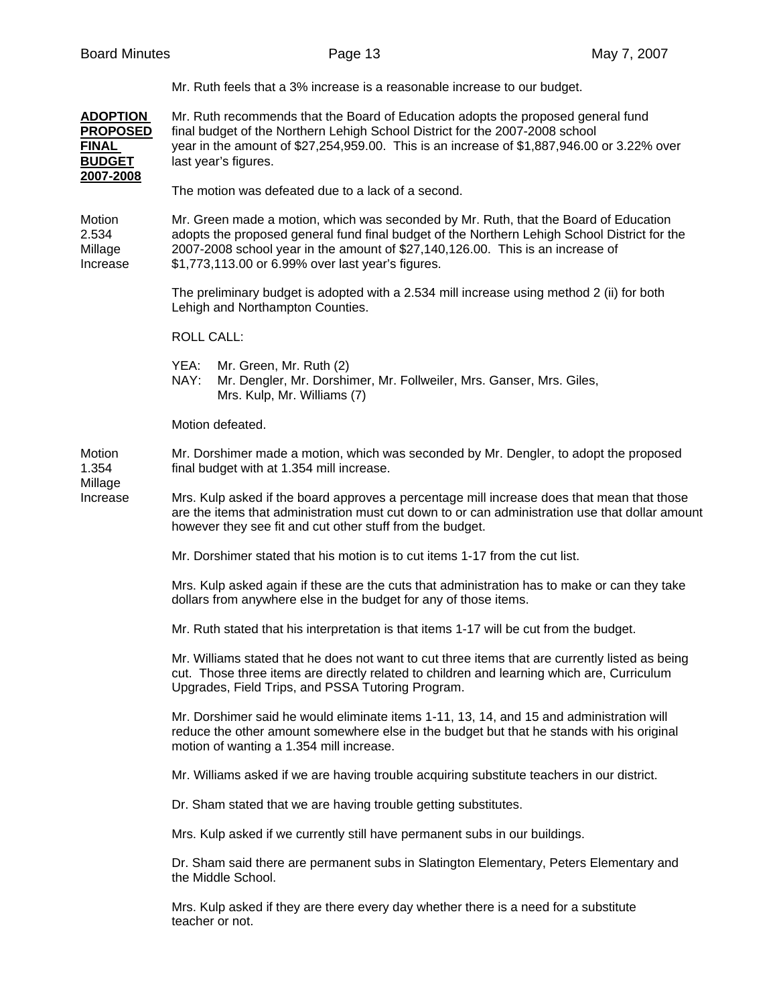|                                                                                  | Mr. Ruth feels that a 3% increase is a reasonable increase to our budget.                                                                                                                                                                                                                                                   |  |  |  |  |  |
|----------------------------------------------------------------------------------|-----------------------------------------------------------------------------------------------------------------------------------------------------------------------------------------------------------------------------------------------------------------------------------------------------------------------------|--|--|--|--|--|
| <b>ADOPTION</b><br><b>PROPOSED</b><br><b>FINAL</b><br><b>BUDGET</b><br>2007-2008 | Mr. Ruth recommends that the Board of Education adopts the proposed general fund<br>final budget of the Northern Lehigh School District for the 2007-2008 school<br>year in the amount of \$27,254,959.00. This is an increase of \$1,887,946.00 or 3.22% over<br>last year's figures.                                      |  |  |  |  |  |
|                                                                                  | The motion was defeated due to a lack of a second.                                                                                                                                                                                                                                                                          |  |  |  |  |  |
| Motion<br>2.534<br>Millage<br>Increase                                           | Mr. Green made a motion, which was seconded by Mr. Ruth, that the Board of Education<br>adopts the proposed general fund final budget of the Northern Lehigh School District for the<br>2007-2008 school year in the amount of \$27,140,126.00. This is an increase of<br>\$1,773,113.00 or 6.99% over last year's figures. |  |  |  |  |  |
|                                                                                  | The preliminary budget is adopted with a 2.534 mill increase using method 2 (ii) for both<br>Lehigh and Northampton Counties.                                                                                                                                                                                               |  |  |  |  |  |
|                                                                                  | <b>ROLL CALL:</b>                                                                                                                                                                                                                                                                                                           |  |  |  |  |  |
|                                                                                  | YEA:<br>Mr. Green, Mr. Ruth (2)<br>NAY:<br>Mr. Dengler, Mr. Dorshimer, Mr. Follweiler, Mrs. Ganser, Mrs. Giles,<br>Mrs. Kulp, Mr. Williams (7)                                                                                                                                                                              |  |  |  |  |  |
|                                                                                  | Motion defeated.                                                                                                                                                                                                                                                                                                            |  |  |  |  |  |
| Motion<br>1.354                                                                  | Mr. Dorshimer made a motion, which was seconded by Mr. Dengler, to adopt the proposed<br>final budget with at 1.354 mill increase.                                                                                                                                                                                          |  |  |  |  |  |
| Millage<br>Increase                                                              | Mrs. Kulp asked if the board approves a percentage mill increase does that mean that those<br>are the items that administration must cut down to or can administration use that dollar amount<br>however they see fit and cut other stuff from the budget.                                                                  |  |  |  |  |  |
|                                                                                  | Mr. Dorshimer stated that his motion is to cut items 1-17 from the cut list.                                                                                                                                                                                                                                                |  |  |  |  |  |
|                                                                                  | Mrs. Kulp asked again if these are the cuts that administration has to make or can they take<br>dollars from anywhere else in the budget for any of those items.                                                                                                                                                            |  |  |  |  |  |
|                                                                                  | Mr. Ruth stated that his interpretation is that items 1-17 will be cut from the budget.                                                                                                                                                                                                                                     |  |  |  |  |  |
|                                                                                  | Mr. Williams stated that he does not want to cut three items that are currently listed as being<br>cut. Those three items are directly related to children and learning which are, Curriculum<br>Upgrades, Field Trips, and PSSA Tutoring Program.                                                                          |  |  |  |  |  |
|                                                                                  | Mr. Dorshimer said he would eliminate items 1-11, 13, 14, and 15 and administration will<br>reduce the other amount somewhere else in the budget but that he stands with his original<br>motion of wanting a 1.354 mill increase.                                                                                           |  |  |  |  |  |
|                                                                                  | Mr. Williams asked if we are having trouble acquiring substitute teachers in our district.                                                                                                                                                                                                                                  |  |  |  |  |  |
|                                                                                  | Dr. Sham stated that we are having trouble getting substitutes.                                                                                                                                                                                                                                                             |  |  |  |  |  |
|                                                                                  | Mrs. Kulp asked if we currently still have permanent subs in our buildings.                                                                                                                                                                                                                                                 |  |  |  |  |  |
|                                                                                  | Dr. Sham said there are permanent subs in Slatington Elementary, Peters Elementary and<br>the Middle School.                                                                                                                                                                                                                |  |  |  |  |  |
|                                                                                  | Mrs. Kulp asked if they are there every day whether there is a need for a substitute<br>teacher or not.                                                                                                                                                                                                                     |  |  |  |  |  |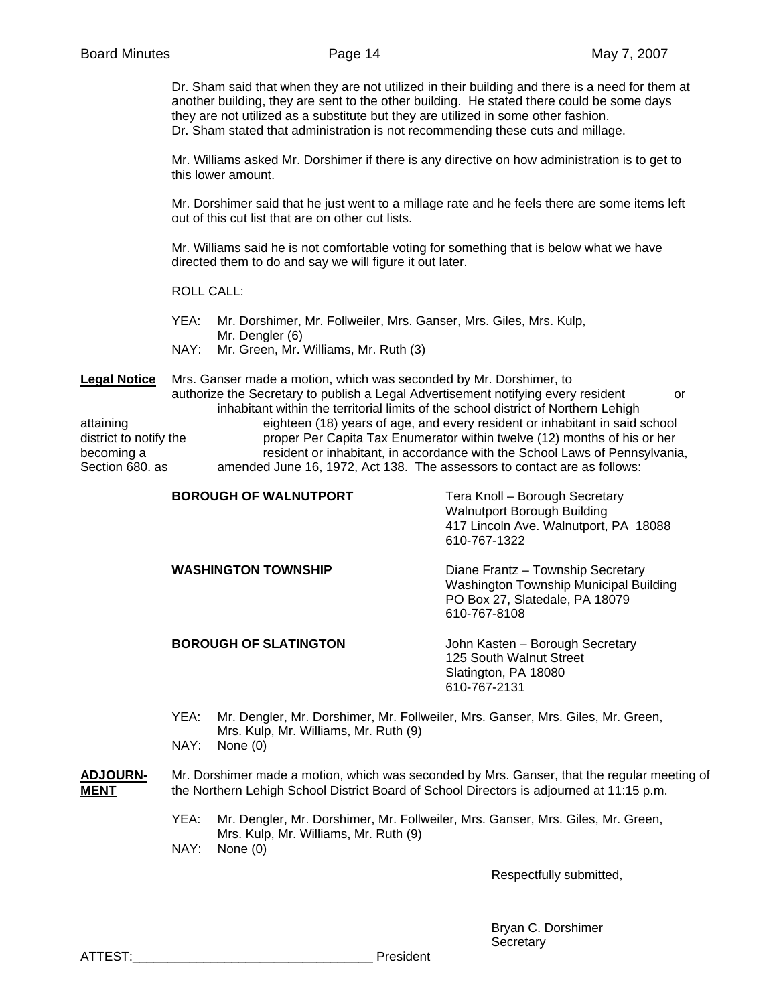Dr. Sham said that when they are not utilized in their building and there is a need for them at another building, they are sent to the other building. He stated there could be some days they are not utilized as a substitute but they are utilized in some other fashion. Dr. Sham stated that administration is not recommending these cuts and millage.

 Mr. Williams asked Mr. Dorshimer if there is any directive on how administration is to get to this lower amount.

 Mr. Dorshimer said that he just went to a millage rate and he feels there are some items left out of this cut list that are on other cut lists.

 Mr. Williams said he is not comfortable voting for something that is below what we have directed them to do and say we will figure it out later.

ROLL CALL:

 YEA: Mr. Dorshimer, Mr. Follweiler, Mrs. Ganser, Mrs. Giles, Mrs. Kulp, Mr. Dengler (6) NAY: Mr. Green, Mr. Williams, Mr. Ruth (3)

**Legal Notice** Mrs. Ganser made a motion, which was seconded by Mr. Dorshimer, to authorize the Secretary to publish a Legal Advertisement notifying every resident or inhabitant within the territorial limits of the school district of Northern Lehigh attaining eighteen (18) years of age, and every resident or inhabitant in said school district to notify the proper Per Capita Tax Enumerator within twelve (12) months of his or her becoming a resident or inhabitant, in accordance with the School Laws of Pennsylvania, Section 680. as amended June 16, 1972, Act 138. The assessors to contact are as follows:

| <b>BOROUGH OF WALNUTPORT</b> | Tera Knoll - Borough Secretary<br>Walnutport Borough Building<br>417 Lincoln Ave. Walnutport, PA 18088<br>610-767-1322        |
|------------------------------|-------------------------------------------------------------------------------------------------------------------------------|
| <b>WASHINGTON TOWNSHIP</b>   | Diane Frantz - Township Secretary<br>Washington Township Municipal Building<br>PO Box 27, Slatedale, PA 18079<br>610-767-8108 |
| <b>BOROUGH OF SLATINGTON</b> | John Kasten – Borough Secretary<br>125 South Walnut Street<br>Slatington, PA 18080<br>610-767-2131                            |

 YEA: Mr. Dengler, Mr. Dorshimer, Mr. Follweiler, Mrs. Ganser, Mrs. Giles, Mr. Green, Mrs. Kulp, Mr. Williams, Mr. Ruth (9) NAY: None (0)

## **ADJOURN-** Mr. Dorshimer made a motion, which was seconded by Mrs. Ganser, that the regular meeting of **MENT** the Northern Lehigh School District Board of School Directors is adjourned at 11:15 p.m.

 YEA: Mr. Dengler, Mr. Dorshimer, Mr. Follweiler, Mrs. Ganser, Mrs. Giles, Mr. Green, Mrs. Kulp, Mr. Williams, Mr. Ruth (9) NAY: None (0)

Respectfully submitted,

 Bryan C. Dorshimer **Secretary** 

ATTEST: The contract of the contract of the contract of the president